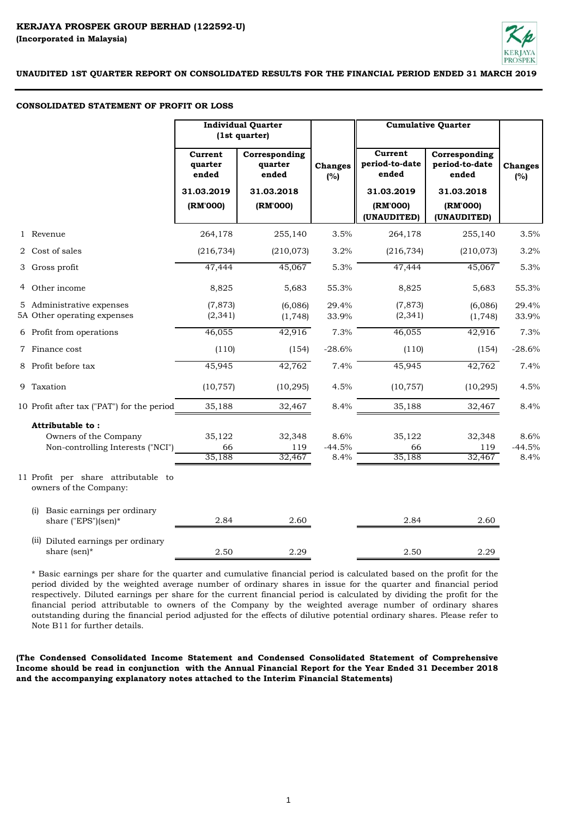

#### **CONSOLIDATED STATEMENT OF PROFIT OR LOSS**

|                                                                                | <b>Individual Quarter</b><br>(1st quarter) |                                   |                          | <b>Cumulative Quarter</b>          |                                          |                          |
|--------------------------------------------------------------------------------|--------------------------------------------|-----------------------------------|--------------------------|------------------------------------|------------------------------------------|--------------------------|
|                                                                                | Current<br>quarter<br>ended                | Corresponding<br>quarter<br>ended | <b>Changes</b><br>(%)    | Current<br>period-to-date<br>ended | Corresponding<br>period-to-date<br>ended | <b>Changes</b><br>(%)    |
|                                                                                | 31.03.2019                                 | 31.03.2018                        |                          | 31.03.2019                         | 31.03.2018                               |                          |
|                                                                                | (RM'000)                                   | (RM'000)                          |                          | (RM'000)<br>(UNAUDITED)            | (RM'000)<br>(UNAUDITED)                  |                          |
| 1 Revenue                                                                      | 264,178                                    | 255,140                           | 3.5%                     | 264,178                            | 255,140                                  | 3.5%                     |
| 2 Cost of sales                                                                | (216, 734)                                 | (210, 073)                        | 3.2%                     | (216, 734)                         | (210,073)                                | 3.2%                     |
| 3 Gross profit                                                                 | 47,444                                     | 45,067                            | 5.3%                     | 47,444                             | 45,067                                   | 5.3%                     |
| 4 Other income                                                                 | 8,825                                      | 5,683                             | 55.3%                    | 8,825                              | 5,683                                    | 55.3%                    |
| 5 Administrative expenses<br>5A Other operating expenses                       | (7, 873)<br>(2, 341)                       | (6,086)<br>(1,748)                | 29.4%<br>33.9%           | (7, 873)<br>(2, 341)               | (6,086)<br>(1, 748)                      | 29.4%<br>33.9%           |
| 6 Profit from operations                                                       | 46,055                                     | 42,916                            | 7.3%                     | 46,055                             | 42,916                                   | 7.3%                     |
| 7 Finance cost                                                                 | (110)                                      | (154)                             | $-28.6%$                 | (110)                              | (154)                                    | $-28.6%$                 |
| 8 Profit before tax                                                            | 45,945                                     | 42,762                            | 7.4%                     | 45,945                             | 42,762                                   | 7.4%                     |
| 9 Taxation                                                                     | (10, 757)                                  | (10, 295)                         | 4.5%                     | (10, 757)                          | (10, 295)                                | 4.5%                     |
| 10 Profit after tax ("PAT") for the period                                     | 35,188                                     | 32,467                            | 8.4%                     | 35,188                             | 32,467                                   | 8.4%                     |
| Attributable to:<br>Owners of the Company<br>Non-controlling Interests ("NCI") | 35,122<br>66<br>35,188                     | 32,348<br>119<br>32,467           | 8.6%<br>$-44.5%$<br>8.4% | 35,122<br>66<br>35,188             | 32,348<br>119<br>32,467                  | 8.6%<br>$-44.5%$<br>8.4% |
| 11 Profit per share attributable to<br>owners of the Company:                  |                                            |                                   |                          |                                    |                                          |                          |
| Basic earnings per ordinary<br>(i)<br>share ("EPS")(sen)*                      | 2.84                                       | 2.60                              |                          | 2.84                               | 2.60                                     |                          |
| (ii) Diluted earnings per ordinary<br>share (sen)*                             | 2.50                                       | 2.29                              |                          | 2.50                               | 2.29                                     |                          |

\* Basic earnings per share for the quarter and cumulative financial period is calculated based on the profit for the period divided by the weighted average number of ordinary shares in issue for the quarter and financial period respectively. Diluted earnings per share for the current financial period is calculated by dividing the profit for the financial period attributable to owners of the Company by the weighted average number of ordinary shares outstanding during the financial period adjusted for the effects of dilutive potential ordinary shares. Please refer to Note B11 for further details.

**(The Condensed Consolidated Income Statement and Condensed Consolidated Statement of Comprehensive** Income should be read in conjunction with the Annual Financial Report for the Year Ended 31 December 2018 **and the accompanying explanatory notes attached to the Interim Financial Statements)**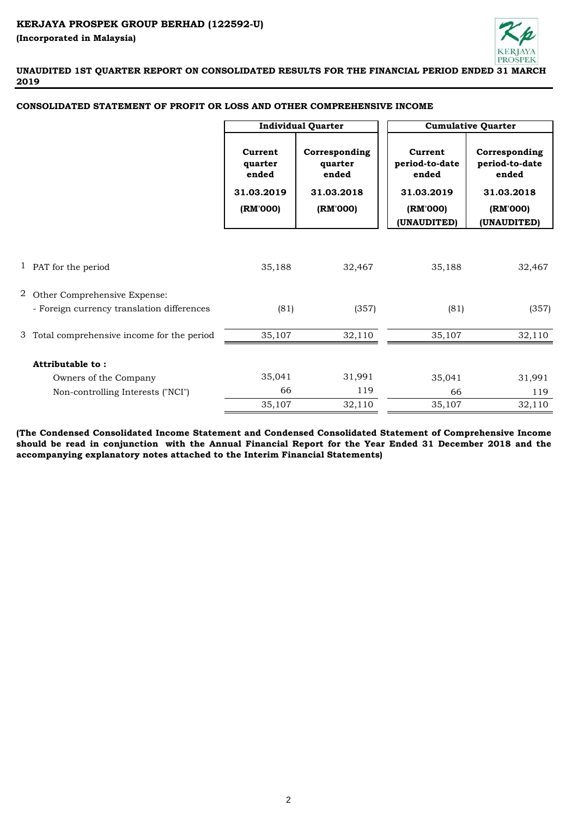

**UNAUDITED 1ST QUARTER REPORT ON CONSOLIDATED RESULTS FOR THE FINANCIAL PERIOD ENDED 31 MARCH 2019**

# **CONSOLIDATED STATEMENT OF PROFIT OR LOSS AND OTHER COMPREHENSIVE INCOME**

|                                             | <b>Individual Quarter</b>                             |                                                             |                                                                             | <b>Cumulative Quarter</b>                                                         |
|---------------------------------------------|-------------------------------------------------------|-------------------------------------------------------------|-----------------------------------------------------------------------------|-----------------------------------------------------------------------------------|
|                                             | Current<br>quarter<br>ended<br>31.03.2019<br>(RM'000) | Corresponding<br>quarter<br>ended<br>31.03.2018<br>(RM'000) | Current<br>period-to-date<br>ended<br>31.03.2019<br>(RM'000)<br>(UNAUDITED) | Corresponding<br>period-to-date<br>ended<br>31.03.2018<br>(RM'000)<br>(UNAUDITED) |
|                                             |                                                       |                                                             |                                                                             |                                                                                   |
|                                             |                                                       |                                                             |                                                                             |                                                                                   |
| 1 PAT for the period                        | 35,188                                                | 32,467                                                      | 35,188                                                                      | 32,467                                                                            |
|                                             |                                                       |                                                             |                                                                             |                                                                                   |
| 2 Other Comprehensive Expense:              |                                                       |                                                             |                                                                             |                                                                                   |
| - Foreign currency translation differences  | (81)                                                  | (357)                                                       | (81)                                                                        | (357)                                                                             |
| 3 Total comprehensive income for the period | 35,107                                                | 32,110                                                      | 35,107                                                                      | 32,110                                                                            |
|                                             |                                                       |                                                             |                                                                             |                                                                                   |
| Attributable to:                            |                                                       |                                                             |                                                                             |                                                                                   |
| Owners of the Company                       | 35,041                                                | 31,991                                                      | 35,041                                                                      | 31,991                                                                            |
| Non-controlling Interests ("NCI")           | 66                                                    | 119                                                         | 66                                                                          | 119                                                                               |
|                                             | 35,107                                                | 32,110                                                      | 35,107                                                                      | 32,110                                                                            |

**(The Condensed Consolidated Income Statement and Condensed Consolidated Statement of Comprehensive Income** should be read in conjunction with the Annual Financial Report for the Year Ended 31 December 2018 and the **accompanying explanatory notes attached to the Interim Financial Statements)**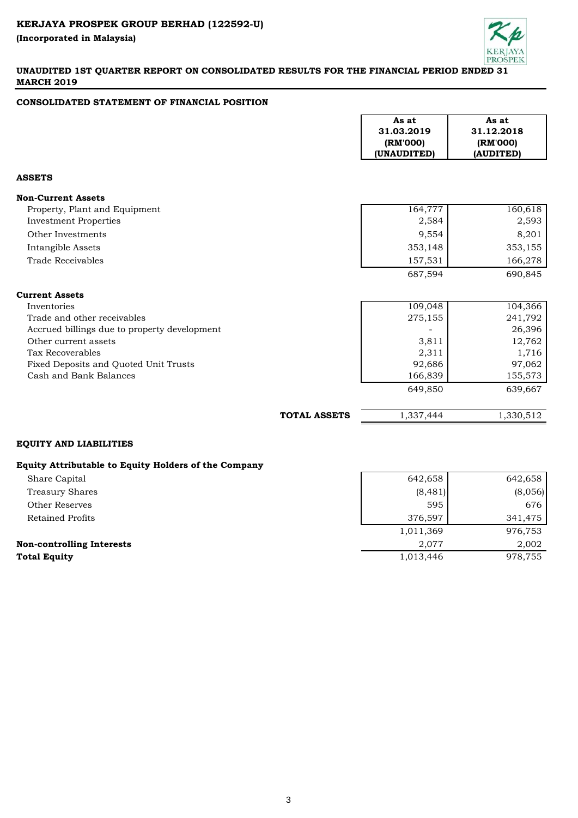

# **UNAUDITED 1ST QUARTER REPORT ON CONSOLIDATED RESULTS FOR THE FINANCIAL PERIOD ENDED 31 MARCH 2019**

# **CONSOLIDATED STATEMENT OF FINANCIAL POSITION**

| As at<br>31.03.2019<br>(RM'000)<br>(UNAUDITED) | As at<br>31.12.2018<br>(RM'000)<br>(AUDITED) |
|------------------------------------------------|----------------------------------------------|
|                                                |                                              |
|                                                |                                              |
| 164,777                                        | 160,618                                      |
| 2,584                                          | 2,593                                        |
| 9,554                                          | 8,201                                        |
| 353,148                                        | 353,155                                      |
| 157,531                                        | 166,278                                      |
| 687,594                                        | 690,845                                      |
|                                                |                                              |
| 109,048                                        | 104,366                                      |
| 275,155                                        | 241,792                                      |
|                                                | 26,396                                       |
| 3,811                                          | 12,762                                       |
|                                                | 1,716                                        |
|                                                | 97,062                                       |
| 166,839                                        | 155,573                                      |
| 649,850                                        | 639,667                                      |
|                                                |                                              |
|                                                | 2,311<br>92,686                              |

# **Equity Attributable to Equity Holders of the Company**

| byanty intermatable to byanty molders of the company |           |         |
|------------------------------------------------------|-----------|---------|
| Share Capital                                        | 642,658   | 642,658 |
| Treasury Shares                                      | (8,481)   | (8,056) |
| Other Reserves                                       | 595       | 676     |
| Retained Profits                                     | 376,597   | 341,475 |
|                                                      | 1,011,369 | 976,753 |
| <b>Non-controlling Interests</b>                     | 2.077     | 2,002   |
| <b>Total Equity</b>                                  | 1,013,446 | 978,755 |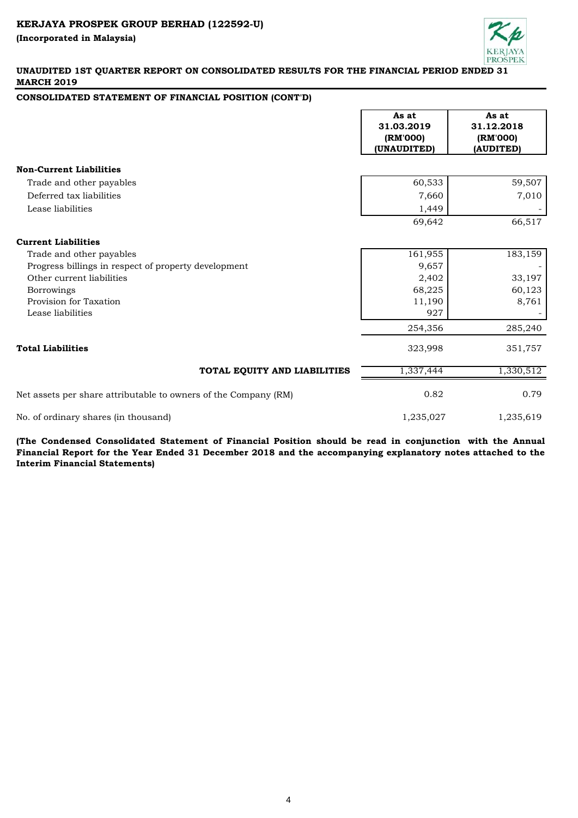

### **UNAUDITED 1ST QUARTER REPORT ON CONSOLIDATED RESULTS FOR THE FINANCIAL PERIOD ENDED 31 MARCH 2019**

### **CONSOLIDATED STATEMENT OF FINANCIAL POSITION (CONT'D)**

|                                                                 | As at<br>31.03.2019<br>(RM'000)<br>(UNAUDITED) | As at<br>31.12.2018<br>(RM'000)<br>(AUDITED) |
|-----------------------------------------------------------------|------------------------------------------------|----------------------------------------------|
| <b>Non-Current Liabilities</b>                                  |                                                |                                              |
| Trade and other payables                                        | 60,533                                         | 59,507                                       |
| Deferred tax liabilities                                        | 7,660                                          | 7,010                                        |
| Lease liabilities                                               | 1,449                                          |                                              |
|                                                                 | 69,642                                         | 66,517                                       |
| <b>Current Liabilities</b>                                      |                                                |                                              |
| Trade and other payables                                        | 161,955                                        | 183,159                                      |
| Progress billings in respect of property development            | 9,657                                          |                                              |
| Other current liabilities                                       | 2,402                                          | 33,197                                       |
| <b>Borrowings</b>                                               | 68,225                                         | 60,123                                       |
| Provision for Taxation                                          | 11,190                                         | 8,761                                        |
| Lease liabilities                                               | 927                                            |                                              |
|                                                                 | 254,356                                        | 285,240                                      |
| <b>Total Liabilities</b>                                        | 323,998                                        | 351,757                                      |
| TOTAL EQUITY AND LIABILITIES                                    | 1,337,444                                      | 1,330,512                                    |
| Net assets per share attributable to owners of the Company (RM) | 0.82                                           | 0.79                                         |
| No. of ordinary shares (in thousand)                            | 1,235,027                                      | 1,235,619                                    |

**(The Condensed Consolidated Statement of Financial Position should be read in conjunction with the Annual** Financial Report for the Year Ended 31 December 2018 and the accompanying explanatory notes attached to the **Interim Financial Statements)**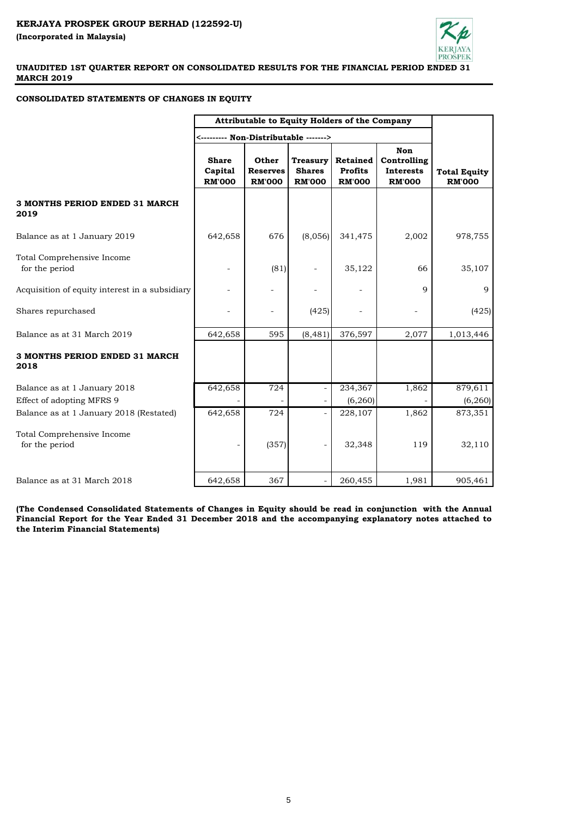

# **CONSOLIDATED STATEMENTS OF CHANGES IN EQUITY**

|                                                           | Attributable to Equity Holders of the Company |                                           |                                                   |                                             |                                                         |                                      |
|-----------------------------------------------------------|-----------------------------------------------|-------------------------------------------|---------------------------------------------------|---------------------------------------------|---------------------------------------------------------|--------------------------------------|
|                                                           | <-------- Non-Distributable ------->          |                                           |                                                   |                                             |                                                         |                                      |
|                                                           | <b>Share</b><br>Capital<br><b>RM'000</b>      | Other<br><b>Reserves</b><br><b>RM'000</b> | <b>Treasury</b><br><b>Shares</b><br><b>RM'000</b> | Retained<br><b>Profits</b><br><b>RM'000</b> | Non<br>Controlling<br><b>Interests</b><br><b>RM'000</b> | <b>Total Equity</b><br><b>RM'000</b> |
| 3 MONTHS PERIOD ENDED 31 MARCH<br>2019                    |                                               |                                           |                                                   |                                             |                                                         |                                      |
| Balance as at 1 January 2019                              | 642,658                                       | 676                                       | (8,056)                                           | 341,475                                     | 2,002                                                   | 978,755                              |
| Total Comprehensive Income<br>for the period              |                                               | (81)                                      |                                                   | 35,122                                      | 66                                                      | 35,107                               |
| Acquisition of equity interest in a subsidiary            |                                               |                                           |                                                   |                                             | 9                                                       | 9                                    |
| Shares repurchased                                        |                                               |                                           | (425)                                             |                                             |                                                         | (425)                                |
| Balance as at 31 March 2019                               | 642,658                                       | 595                                       | (8, 481)                                          | 376,597                                     | 2,077                                                   | 1,013,446                            |
| 3 MONTHS PERIOD ENDED 31 MARCH<br>2018                    |                                               |                                           |                                                   |                                             |                                                         |                                      |
| Balance as at 1 January 2018<br>Effect of adopting MFRS 9 | 642,658                                       | 724                                       | $\overline{\phantom{a}}$                          | 234,367<br>(6, 260)                         | 1,862                                                   | 879,611<br>(6, 260)                  |
| Balance as at 1 January 2018 (Restated)                   | 642,658                                       | 724                                       | $\overline{\phantom{a}}$                          | 228,107                                     | 1,862                                                   | 873,351                              |
| Total Comprehensive Income<br>for the period              |                                               | (357)                                     |                                                   | 32,348                                      | 119                                                     | 32,110                               |
| Balance as at 31 March 2018                               | 642,658                                       | 367                                       |                                                   | 260,455                                     | 1,981                                                   | 905,461                              |

**(The Condensed Consolidated Statements of Changes in Equity should be read in conjunction with the Annual Financial Report for the Year Ended 31 December 2018 and the accompanying explanatory notes attached to the Interim Financial Statements)**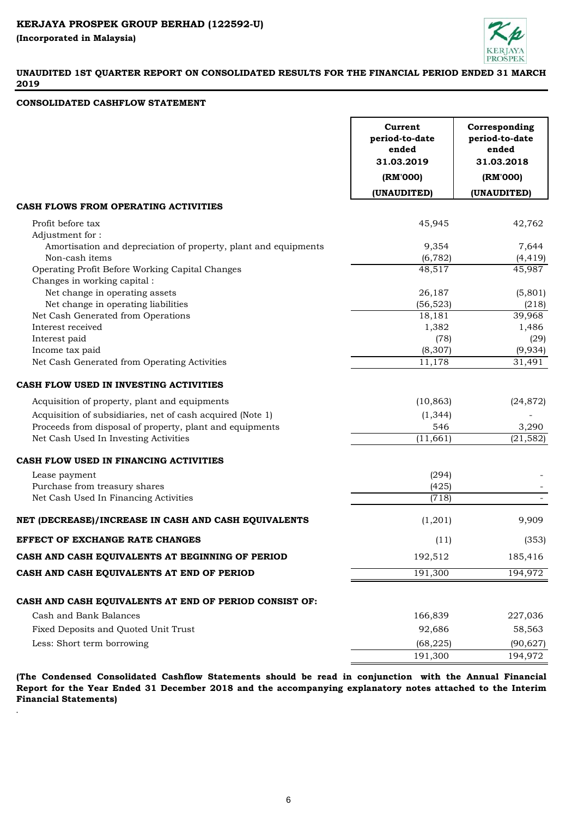.



# **UNAUDITED 1ST QUARTER REPORT ON CONSOLIDATED RESULTS FOR THE FINANCIAL PERIOD ENDED 31 MARCH 2019**

#### **CONSOLIDATED CASHFLOW STATEMENT**

| (RM'000)<br>(RM'000)<br>(UNAUDITED)<br>(UNAUDITED)<br>CASH FLOWS FROM OPERATING ACTIVITIES<br>45,945<br>42,762<br>Profit before tax<br>Adjustment for:<br>Amortisation and depreciation of property, plant and equipments<br>9,354<br>7,644<br>Non-cash items<br>(6, 782)<br>(4, 419)<br>Operating Profit Before Working Capital Changes<br>48,517<br>45,987<br>Changes in working capital:<br>Net change in operating assets<br>(5,801)<br>26,187<br>Net change in operating liabilities<br>(56, 523)<br>(218)<br>Net Cash Generated from Operations<br>39,968<br>18,181<br>Interest received<br>1,382<br>1,486<br>Interest paid<br>(78)<br>(29)<br>Income tax paid<br>(8, 307)<br>(9,934)<br>Net Cash Generated from Operating Activities<br>11,178<br>31,491 |
|-----------------------------------------------------------------------------------------------------------------------------------------------------------------------------------------------------------------------------------------------------------------------------------------------------------------------------------------------------------------------------------------------------------------------------------------------------------------------------------------------------------------------------------------------------------------------------------------------------------------------------------------------------------------------------------------------------------------------------------------------------------------|
|                                                                                                                                                                                                                                                                                                                                                                                                                                                                                                                                                                                                                                                                                                                                                                 |
|                                                                                                                                                                                                                                                                                                                                                                                                                                                                                                                                                                                                                                                                                                                                                                 |
|                                                                                                                                                                                                                                                                                                                                                                                                                                                                                                                                                                                                                                                                                                                                                                 |
|                                                                                                                                                                                                                                                                                                                                                                                                                                                                                                                                                                                                                                                                                                                                                                 |
|                                                                                                                                                                                                                                                                                                                                                                                                                                                                                                                                                                                                                                                                                                                                                                 |
|                                                                                                                                                                                                                                                                                                                                                                                                                                                                                                                                                                                                                                                                                                                                                                 |
|                                                                                                                                                                                                                                                                                                                                                                                                                                                                                                                                                                                                                                                                                                                                                                 |
|                                                                                                                                                                                                                                                                                                                                                                                                                                                                                                                                                                                                                                                                                                                                                                 |
|                                                                                                                                                                                                                                                                                                                                                                                                                                                                                                                                                                                                                                                                                                                                                                 |
|                                                                                                                                                                                                                                                                                                                                                                                                                                                                                                                                                                                                                                                                                                                                                                 |
|                                                                                                                                                                                                                                                                                                                                                                                                                                                                                                                                                                                                                                                                                                                                                                 |
|                                                                                                                                                                                                                                                                                                                                                                                                                                                                                                                                                                                                                                                                                                                                                                 |
|                                                                                                                                                                                                                                                                                                                                                                                                                                                                                                                                                                                                                                                                                                                                                                 |
|                                                                                                                                                                                                                                                                                                                                                                                                                                                                                                                                                                                                                                                                                                                                                                 |
|                                                                                                                                                                                                                                                                                                                                                                                                                                                                                                                                                                                                                                                                                                                                                                 |
|                                                                                                                                                                                                                                                                                                                                                                                                                                                                                                                                                                                                                                                                                                                                                                 |
| CASH FLOW USED IN INVESTING ACTIVITIES                                                                                                                                                                                                                                                                                                                                                                                                                                                                                                                                                                                                                                                                                                                          |
| Acquisition of property, plant and equipments<br>(10, 863)<br>(24, 872)                                                                                                                                                                                                                                                                                                                                                                                                                                                                                                                                                                                                                                                                                         |
| Acquisition of subsidiaries, net of cash acquired (Note 1)<br>(1, 344)                                                                                                                                                                                                                                                                                                                                                                                                                                                                                                                                                                                                                                                                                          |
| Proceeds from disposal of property, plant and equipments<br>546<br>3,290                                                                                                                                                                                                                                                                                                                                                                                                                                                                                                                                                                                                                                                                                        |
| Net Cash Used In Investing Activities<br>(11, 661)<br>(21, 582)                                                                                                                                                                                                                                                                                                                                                                                                                                                                                                                                                                                                                                                                                                 |
| CASH FLOW USED IN FINANCING ACTIVITIES                                                                                                                                                                                                                                                                                                                                                                                                                                                                                                                                                                                                                                                                                                                          |
| (294)<br>Lease payment                                                                                                                                                                                                                                                                                                                                                                                                                                                                                                                                                                                                                                                                                                                                          |
| Purchase from treasury shares<br>(425)                                                                                                                                                                                                                                                                                                                                                                                                                                                                                                                                                                                                                                                                                                                          |
| Net Cash Used In Financing Activities<br>(718)                                                                                                                                                                                                                                                                                                                                                                                                                                                                                                                                                                                                                                                                                                                  |
| 9,909<br>NET (DECREASE)/INCREASE IN CASH AND CASH EQUIVALENTS<br>(1,201)                                                                                                                                                                                                                                                                                                                                                                                                                                                                                                                                                                                                                                                                                        |
| <b>EFFECT OF EXCHANGE RATE CHANGES</b><br>(11)<br>(353)                                                                                                                                                                                                                                                                                                                                                                                                                                                                                                                                                                                                                                                                                                         |
| CASH AND CASH EQUIVALENTS AT BEGINNING OF PERIOD<br>192,512<br>185,416                                                                                                                                                                                                                                                                                                                                                                                                                                                                                                                                                                                                                                                                                          |
| 191,300<br>194,972<br>CASH AND CASH EQUIVALENTS AT END OF PERIOD                                                                                                                                                                                                                                                                                                                                                                                                                                                                                                                                                                                                                                                                                                |
|                                                                                                                                                                                                                                                                                                                                                                                                                                                                                                                                                                                                                                                                                                                                                                 |
| CASH AND CASH EQUIVALENTS AT END OF PERIOD CONSIST OF:                                                                                                                                                                                                                                                                                                                                                                                                                                                                                                                                                                                                                                                                                                          |
| Cash and Bank Balances<br>166,839<br>227,036                                                                                                                                                                                                                                                                                                                                                                                                                                                                                                                                                                                                                                                                                                                    |
| Fixed Deposits and Quoted Unit Trust<br>92,686<br>58,563                                                                                                                                                                                                                                                                                                                                                                                                                                                                                                                                                                                                                                                                                                        |
| Less: Short term borrowing<br>(68, 225)<br>(90, 627)                                                                                                                                                                                                                                                                                                                                                                                                                                                                                                                                                                                                                                                                                                            |
| 191,300<br>194,972                                                                                                                                                                                                                                                                                                                                                                                                                                                                                                                                                                                                                                                                                                                                              |

**(The Condensed Consolidated Cashflow Statements should be read in conjunction with the Annual Financial Report for the Year Ended 31 December 2018 and the accompanying explanatory notes attached to the Interim Financial Statements)**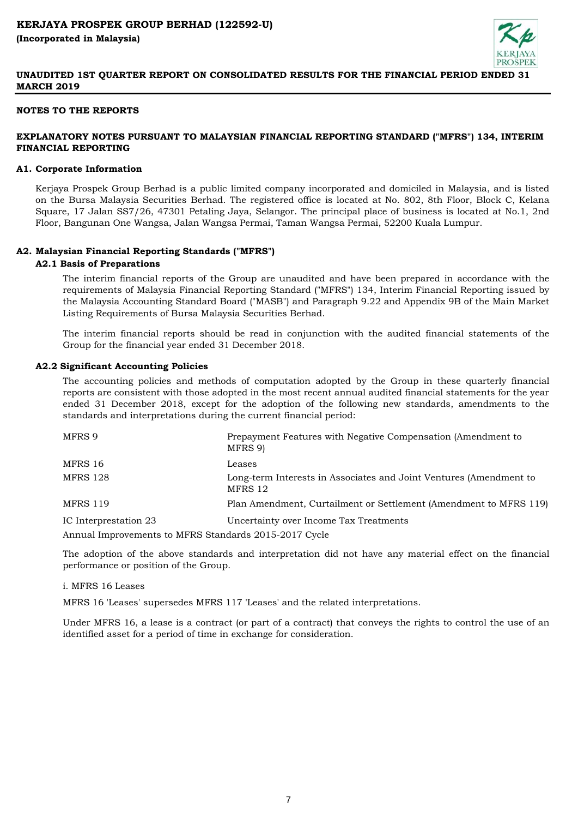

### **NOTES TO THE REPORTS**

# **EXPLANATORY NOTES PURSUANT TO MALAYSIAN FINANCIAL REPORTING STANDARD ("MFRS") 134, INTERIM FINANCIAL REPORTING**

#### **A1. Corporate Information**

Kerjaya Prospek Group Berhad is a public limited company incorporated and domiciled in Malaysia, and is listed on the Bursa Malaysia Securities Berhad. The registered office is located at No. 802, 8th Floor, Block C, Kelana Square, 17 Jalan SS7/26, 47301 Petaling Jaya, Selangor. The principal place of business is located at No.1, 2nd Floor, Bangunan One Wangsa, Jalan Wangsa Permai, Taman Wangsa Permai, 52200 Kuala Lumpur.

#### **A2. Malaysian Financial Reporting Standards ("MFRS")**

#### **A2.1 Basis of Preparations**

The interim financial reports of the Group are unaudited and have been prepared in accordance with the requirements of Malaysia Financial Reporting Standard ("MFRS") 134, Interim Financial Reporting issued by the Malaysia Accounting Standard Board ("MASB") and Paragraph 9.22 and Appendix 9B of the Main Market Listing Requirements of Bursa Malaysia Securities Berhad.

The interim financial reports should be read in conjunction with the audited financial statements of the Group for the financial year ended 31 December 2018.

## **A2.2 Significant Accounting Policies**

The accounting policies and methods of computation adopted by the Group in these quarterly financial reports are consistent with those adopted in the most recent annual audited financial statements for the year ended 31 December 2018, except for the adoption of the following new standards, amendments to the standards and interpretations during the current financial period:

| MFRS 9                                                | Prepayment Features with Negative Compensation (Amendment to<br>MFRS 9)       |
|-------------------------------------------------------|-------------------------------------------------------------------------------|
| MFRS 16                                               | Leases                                                                        |
| <b>MFRS 128</b>                                       | Long-term Interests in Associates and Joint Ventures (Amendment to<br>MFRS 12 |
| <b>MFRS 119</b>                                       | Plan Amendment, Curtailment or Settlement (Amendment to MFRS 119)             |
| IC Interprestation 23                                 | Uncertainty over Income Tax Treatments                                        |
| Annual Improvements to MFRS Standards 2015-2017 Cycle |                                                                               |

The adoption of the above standards and interpretation did not have any material effect on the financial performance or position of the Group.

#### i. MFRS 16 Leases

MFRS 16 'Leases' supersedes MFRS 117 'Leases' and the related interpretations.

Under MFRS 16, a lease is a contract (or part of a contract) that conveys the rights to control the use of an identified asset for a period of time in exchange for consideration.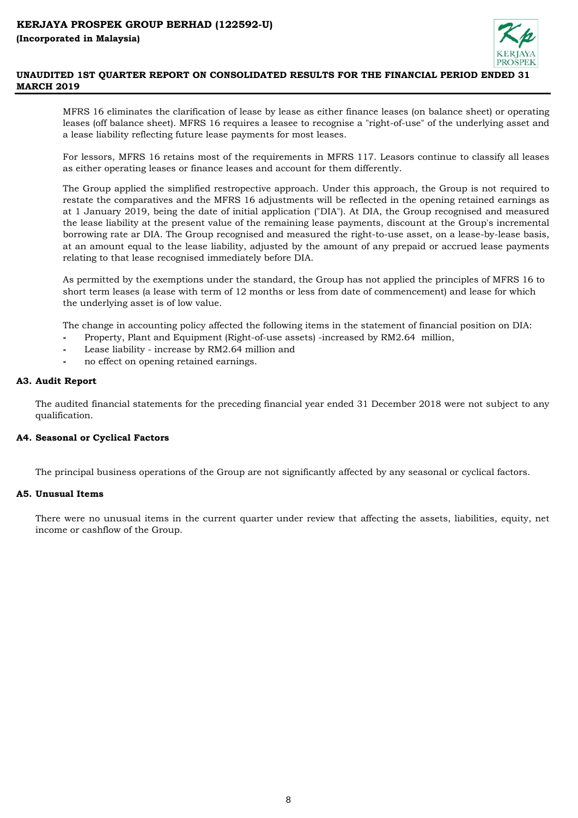

MFRS 16 eliminates the clarification of lease by lease as either finance leases (on balance sheet) or operating leases (off balance sheet). MFRS 16 requires a leasee to recognise a "right-of-use" of the underlying asset and a lease liability reflecting future lease payments for most leases.

For lessors, MFRS 16 retains most of the requirements in MFRS 117. Leasors continue to classify all leases as either operating leases or finance leases and account for them differently.

The Group applied the simplified restropective approach. Under this approach, the Group is not required to restate the comparatives and the MFRS 16 adjustments will be reflected in the opening retained earnings as at 1 January 2019, being the date of initial application ("DIA"). At DIA, the Group recognised and measured the lease liability at the present value of the remaining lease payments, discount at the Group's incremental borrowing rate ar DIA. The Group recognised and measured the right-to-use asset, on a lease-by-lease basis, at an amount equal to the lease liability, adjusted by the amount of any prepaid or accrued lease payments relating to that lease recognised immediately before DIA.

As permitted by the exemptions under the standard, the Group has not applied the principles of MFRS 16 to short term leases (a lease with term of 12 months or less from date of commencement) and lease for which the underlying asset is of low value.

The change in accounting policy affected the following items in the statement of financial position on DIA:

- **-** Property, Plant and Equipment (Right-of-use assets) -increased by RM2.64 million,
- **-** Lease liability increase by RM2.64 million and
- **-** no effect on opening retained earnings.

# **A3. Audit Report**

The audited financial statements for the preceding financial year ended 31 December 2018 were not subject to any qualification.

# **A4. Seasonal or Cyclical Factors**

The principal business operations of the Group are not significantly affected by any seasonal or cyclical factors.

# **A5. Unusual Items**

There were no unusual items in the current quarter under review that affecting the assets, liabilities, equity, net income or cashflow of the Group.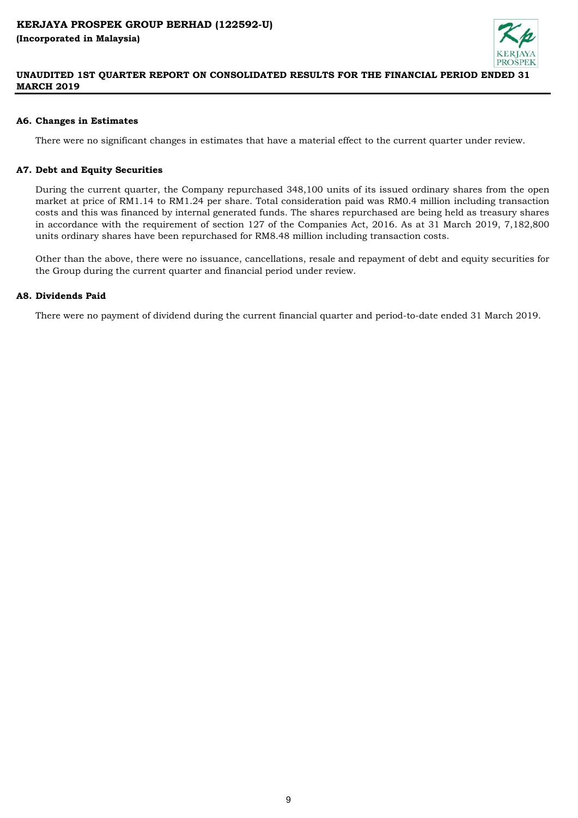

# **A6. Changes in Estimates**

There were no significant changes in estimates that have a material effect to the current quarter under review.

# **A7. Debt and Equity Securities**

During the current quarter, the Company repurchased 348,100 units of its issued ordinary shares from the open market at price of RM1.14 to RM1.24 per share. Total consideration paid was RM0.4 million including transaction costs and this was financed by internal generated funds. The shares repurchased are being held as treasury shares in accordance with the requirement of section 127 of the Companies Act, 2016. As at 31 March 2019, 7,182,800 units ordinary shares have been repurchased for RM8.48 million including transaction costs.

Other than the above, there were no issuance, cancellations, resale and repayment of debt and equity securities for the Group during the current quarter and financial period under review.

# **A8. Dividends Paid**

There were no payment of dividend during the current financial quarter and period-to-date ended 31 March 2019.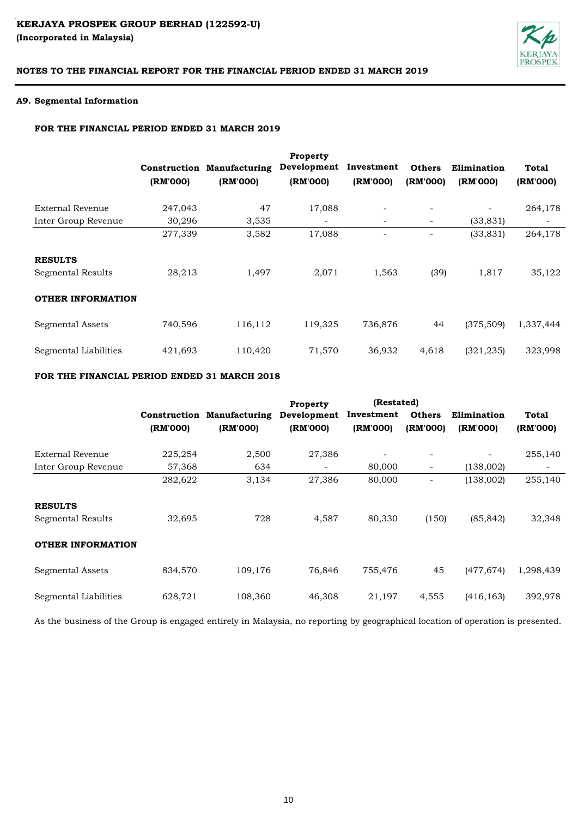# KERJAYA PROSPEK GROUP BERHAD (122592-U) **(Incorporated in Malaysia)**



# **NOTES TO THE FINANCIAL REPORT FOR THE FINANCIAL PERIOD ENDED 31 MARCH 2019**

#### **A9. Segmental Information**

### **FOR THE FINANCIAL PERIOD ENDED 31 MARCH 2019**

|                          | (RM'000) | <b>Construction Manufacturing</b><br>(RM'000) | <b>Property</b><br>Development<br>(RM'000) | Investment<br>(RM'000)   | <b>Others</b><br>(RM'000) | Elimination<br>(RM'000)  | Total<br>(RM'000)        |
|--------------------------|----------|-----------------------------------------------|--------------------------------------------|--------------------------|---------------------------|--------------------------|--------------------------|
| External Revenue         | 247,043  | 47                                            | 17,088                                     | $\overline{\phantom{0}}$ |                           | $\overline{\phantom{a}}$ | 264,178                  |
| Inter Group Revenue      | 30,296   | 3,535                                         | $\overline{\phantom{a}}$                   | $\overline{\phantom{a}}$ | ۰.                        | (33, 831)                | $\overline{\phantom{a}}$ |
|                          | 277,339  | 3,582                                         | 17,088                                     | ۰                        |                           | (33, 831)                | 264,178                  |
| <b>RESULTS</b>           |          |                                               |                                            |                          |                           |                          |                          |
| Segmental Results        | 28,213   | 1,497                                         | 2,071                                      | 1,563                    | (39)                      | 1,817                    | 35,122                   |
| <b>OTHER INFORMATION</b> |          |                                               |                                            |                          |                           |                          |                          |
| Segmental Assets         | 740,596  | 116,112                                       | 119,325                                    | 736,876                  | 44                        | (375, 509)               | 1,337,444                |
| Segmental Liabilities    | 421,693  | 110,420                                       | 71,570                                     | 36,932                   | 4,618                     | (321, 235)               | 323,998                  |

# **FOR THE FINANCIAL PERIOD ENDED 31 MARCH 2018**

|                          |          |                                   | Property                 | (Restated) |                          |             |           |
|--------------------------|----------|-----------------------------------|--------------------------|------------|--------------------------|-------------|-----------|
|                          |          | <b>Construction Manufacturing</b> | Development              | Investment | <b>Others</b>            | Elimination | Total     |
|                          | (RM'000) | (RM'000)                          | (RM'000)                 | (RM'000)   | (RM'000)                 | (RM'000)    | (RM'000)  |
| External Revenue         | 225,254  | 2,500                             | 27,386                   |            |                          | ۰           | 255,140   |
| Inter Group Revenue      | 57,368   | 634                               | $\overline{\phantom{a}}$ | 80,000     | $\overline{\phantom{a}}$ | (138,002)   |           |
|                          | 282,622  | 3,134                             | 27,386                   | 80,000     | ۰                        | (138,002)   | 255,140   |
| <b>RESULTS</b>           |          |                                   |                          |            |                          |             |           |
| Segmental Results        | 32,695   | 728                               | 4,587                    | 80,330     | (150)                    | (85, 842)   | 32,348    |
| <b>OTHER INFORMATION</b> |          |                                   |                          |            |                          |             |           |
| Segmental Assets         | 834,570  | 109,176                           | 76,846                   | 755,476    | 45                       | (477, 674)  | 1,298,439 |
| Segmental Liabilities    | 628,721  | 108,360                           | 46,308                   | 21,197     | 4,555                    | (416, 163)  | 392,978   |

As the business of the Group is engaged entirely in Malaysia, no reporting by geographical location of operation is presented.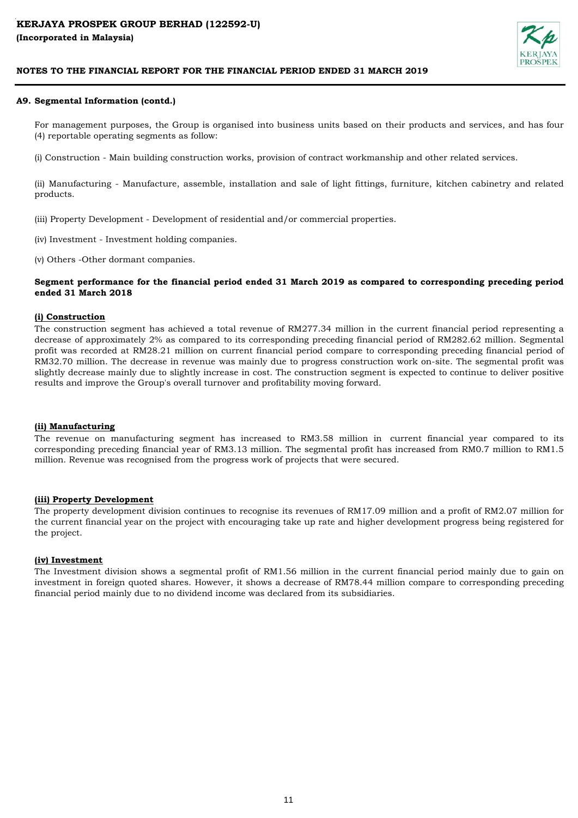

#### **A9. Segmental Information (contd.)**

For management purposes, the Group is organised into business units based on their products and services, and has four (4) reportable operating segments as follow:

(i) Construction - Main building construction works, provision of contract workmanship and other related services.

(ii) Manufacturing - Manufacture, assemble, installation and sale of light fittings, furniture, kitchen cabinetry and related products.

(iii) Property Development - Development of residential and/or commercial properties.

(iv) Investment - Investment holding companies.

(v) Others -Other dormant companies.

#### **Segment performance for the financial period ended 31 March 2019 as compared to corresponding preceding period ended 31 March 2018**

## **(i) Construction**

The construction segment has achieved a total revenue of RM277.34 million in the current financial period representing a decrease of approximately 2% as compared to its corresponding preceding financial period of RM282.62 million. Segmental profit was recorded at RM28.21 million on current financial period compare to corresponding preceding financial period of RM32.70 million. The decrease in revenue was mainly due to progress construction work on-site. The segmental profit was slightly decrease mainly due to slightly increase in cost. The construction segment is expected to continue to deliver positive results and improve the Group's overall turnover and profitability moving forward.

#### **(ii) Manufacturing**

The revenue on manufacturing segment has increased to RM3.58 million in current financial year compared to its corresponding preceding financial year of RM3.13 million. The segmental profit has increased from RM0.7 million to RM1.5 million. Revenue was recognised from the progress work of projects that were secured.

#### **(iii) Property Development**

The property development division continues to recognise its revenues of RM17.09 million and a profit of RM2.07 million for the current financial year on the project with encouraging take up rate and higher development progress being registered for the project.

#### **(iv) Investment**

The Investment division shows a segmental profit of RM1.56 million in the current financial period mainly due to gain on investment in foreign quoted shares. However, it shows a decrease of RM78.44 million compare to corresponding preceding financial period mainly due to no dividend income was declared from its subsidiaries.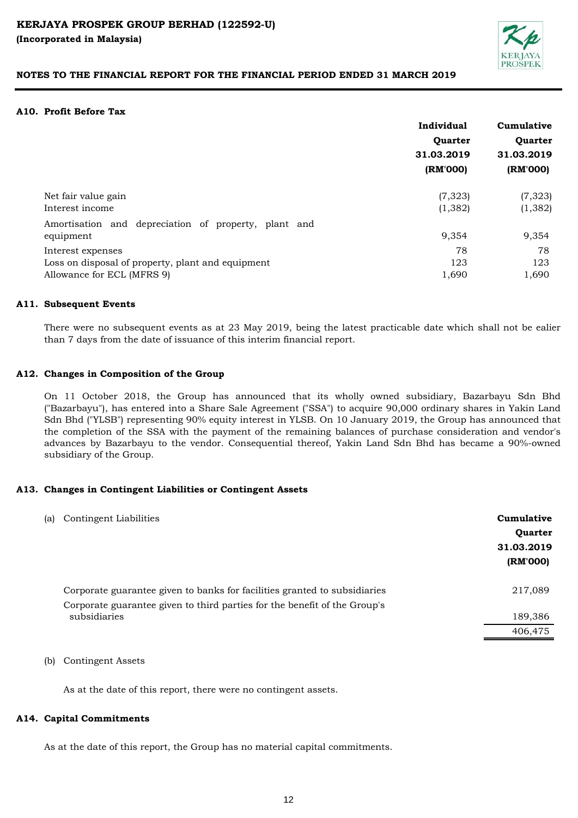

#### **A10. Profit Before Tax**

|                                                      | Individual     | Cumulative     |
|------------------------------------------------------|----------------|----------------|
|                                                      | <b>Ouarter</b> | <b>Ouarter</b> |
|                                                      | 31.03.2019     | 31.03.2019     |
|                                                      | (RM'000)       | (RM'000)       |
| Net fair value gain                                  | (7, 323)       | (7, 323)       |
| Interest income                                      | (1, 382)       | (1, 382)       |
| Amortisation and depreciation of property, plant and |                |                |
| equipment                                            | 9,354          | 9,354          |
| Interest expenses                                    | 78             | 78             |
| Loss on disposal of property, plant and equipment    | 123            | 123            |
| Allowance for ECL (MFRS 9)                           | 1,690          | 1,690          |
|                                                      |                |                |

#### **A11. Subsequent Events**

There were no subsequent events as at 23 May 2019, being the latest practicable date which shall not be ealier than 7 days from the date of issuance of this interim financial report.

#### **A12. Changes in Composition of the Group**

On 11 October 2018, the Group has announced that its wholly owned subsidiary, Bazarbayu Sdn Bhd ("Bazarbayu"), has entered into a Share Sale Agreement ("SSA") to acquire 90,000 ordinary shares in Yakin Land Sdn Bhd ("YLSB") representing 90% equity interest in YLSB. On 10 January 2019, the Group has announced that the completion of the SSA with the payment of the remaining balances of purchase consideration and vendor's advances by Bazarbayu to the vendor. Consequential thereof, Yakin Land Sdn Bhd has became a 90%-owned subsidiary of the Group.

#### **A13. Changes in Contingent Liabilities or Contingent Assets**

| (a) | Contingent Liabilities                                                    | Cumulative<br>Quarter<br>31.03.2019<br>(RM'000) |
|-----|---------------------------------------------------------------------------|-------------------------------------------------|
|     | Corporate guarantee given to banks for facilities granted to subsidiaries | 217,089                                         |
|     | Corporate guarantee given to third parties for the benefit of the Group's |                                                 |
|     | subsidiaries                                                              | 189,386                                         |
|     |                                                                           | 406,475                                         |

#### (b) Contingent Assets

As at the date of this report, there were no contingent assets.

# **A14. Capital Commitments**

As at the date of this report, the Group has no material capital commitments.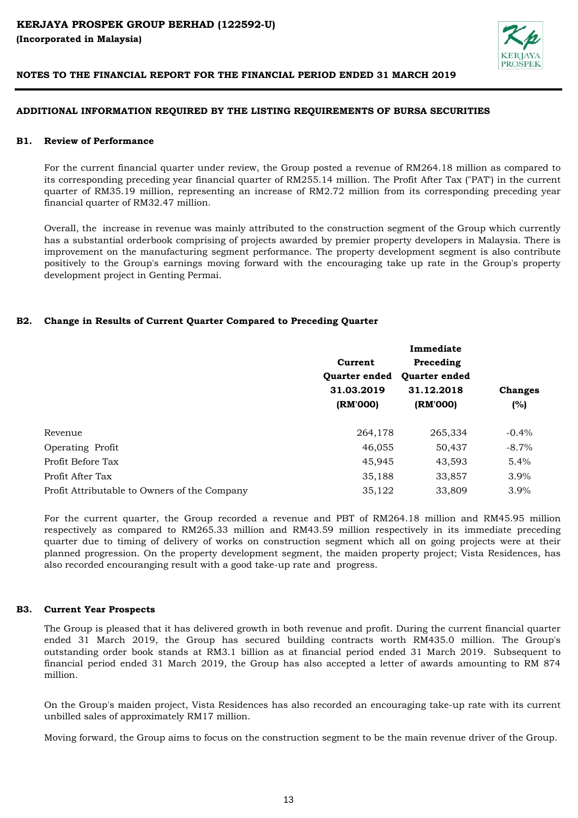

# **ADDITIONAL INFORMATION REQUIRED BY THE LISTING REQUIREMENTS OF BURSA SECURITIES**

#### **B1. Review of Performance**

For the current financial quarter under review, the Group posted a revenue of RM264.18 million as compared to its corresponding preceding year financial quarter of RM255.14 million. The Profit After Tax ("PAT') in the current quarter of RM35.19 million, representing an increase of RM2.72 million from its corresponding preceding year financial quarter of RM32.47 million.

Overall, the increase in revenue was mainly attributed to the construction segment of the Group which currently has a substantial orderbook comprising of projects awarded by premier property developers in Malaysia. There is improvement on the manufacturing segment performance. The property development segment is also contribute positively to the Group's earnings moving forward with the encouraging take up rate in the Group's property development project in Genting Permai.

# **B2. Change in Results of Current Quarter Compared to Preceding Quarter**

|                                              |                      | Immediate            |                |  |
|----------------------------------------------|----------------------|----------------------|----------------|--|
|                                              | Current              | Preceding            |                |  |
|                                              | <b>Ouarter ended</b> | <b>Ouarter ended</b> | <b>Changes</b> |  |
|                                              | 31.03.2019           | 31.12.2018           |                |  |
|                                              | (RM'000)             | (RM'000)             | (%)            |  |
| Revenue                                      | 264,178              | 265,334              | $-0.4\%$       |  |
| Operating Profit                             | 46,055               | 50,437               | $-8.7\%$       |  |
| Profit Before Tax                            | 45,945               | 43,593               | 5.4%           |  |
| Profit After Tax                             | 35,188               | 33,857               | 3.9%           |  |
| Profit Attributable to Owners of the Company | 35,122               | 33,809               | 3.9%           |  |

For the current quarter, the Group recorded a revenue and PBT of RM264.18 million and RM45.95 million respectively as compared to RM265.33 million and RM43.59 million respectively in its immediate preceding quarter due to timing of delivery of works on construction segment which all on going projects were at their planned progression. On the property development segment, the maiden property project; Vista Residences, has also recorded encouranging result with a good take-up rate and progress.

#### **B3. Current Year Prospects**

The Group is pleased that it has delivered growth in both revenue and profit. During the current financial quarter ended 31 March 2019, the Group has secured building contracts worth RM435.0 million. The Group's outstanding order book stands at RM3.1 billion as at financial period ended 31 March 2019. Subsequent to financial period ended 31 March 2019, the Group has also accepted a letter of awards amounting to RM 874 million.

On the Group's maiden project, Vista Residences has also recorded an encouraging take-up rate with its current unbilled sales of approximately RM17 million.

Moving forward, the Group aims to focus on the construction segment to be the main revenue driver of the Group.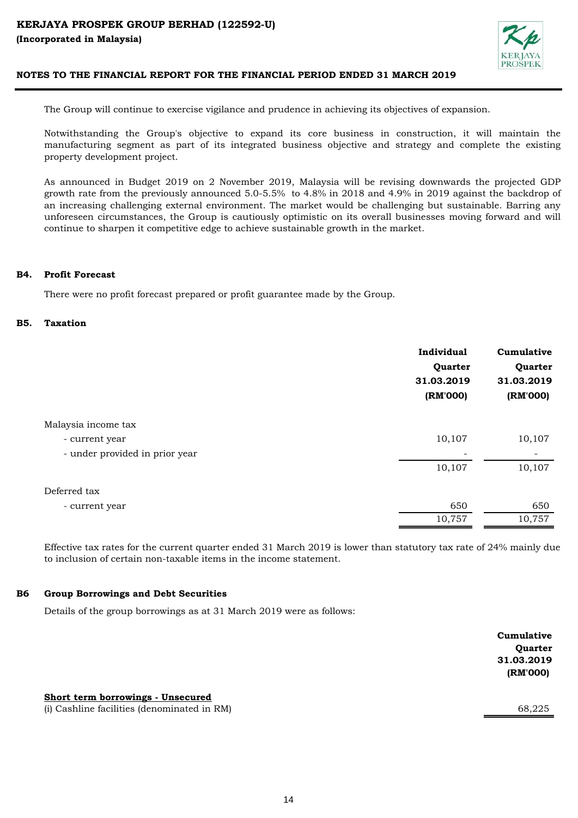

The Group will continue to exercise vigilance and prudence in achieving its objectives of expansion.

Notwithstanding the Group's objective to expand its core business in construction, it will maintain the manufacturing segment as part of its integrated business objective and strategy and complete the existing property development project.

As announced in Budget 2019 on 2 November 2019, Malaysia will be revising downwards the projected GDP growth rate from the previously announced 5.0-5.5% to 4.8% in 2018 and 4.9% in 2019 against the backdrop of an increasing challenging external environment. The market would be challenging but sustainable. Barring any unforeseen circumstances, the Group is cautiously optimistic on its overall businesses moving forward and will continue to sharpen it competitive edge to achieve sustainable growth in the market.

#### **B4. Profit Forecast**

There were no profit forecast prepared or profit guarantee made by the Group.

#### **B5. Taxation**

|                                | Individual<br>Quarter<br>31.03.2019<br>(RM'000) | Cumulative<br>Quarter<br>31.03.2019<br>(RM'000) |
|--------------------------------|-------------------------------------------------|-------------------------------------------------|
| Malaysia income tax            |                                                 |                                                 |
| - current year                 | 10,107                                          | 10,107                                          |
| - under provided in prior year |                                                 |                                                 |
|                                | 10,107                                          | 10,107                                          |
| Deferred tax                   |                                                 |                                                 |
| - current year                 | 650                                             | 650                                             |
|                                | 10,757                                          | 10,757                                          |

Effective tax rates for the current quarter ended 31 March 2019 is lower than statutory tax rate of 24% mainly due to inclusion of certain non-taxable items in the income statement.

#### **B6 Group Borrowings and Debt Securities**

Details of the group borrowings as at 31 March 2019 were as follows:

|                                   | Cumulative |
|-----------------------------------|------------|
|                                   | Quarter    |
|                                   | 31.03.2019 |
|                                   | (RM'000)   |
|                                   |            |
| Short term borrowings - Unsecured |            |

(i) Cashline facilities (denominated in RM) 68,225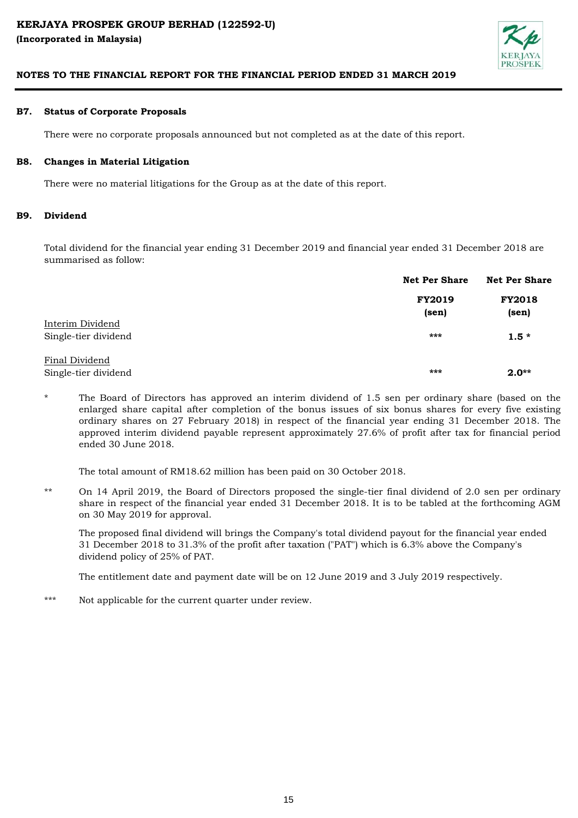

#### **B7. Status of Corporate Proposals**

There were no corporate proposals announced but not completed as at the date of this report.

#### **B8. Changes in Material Litigation**

There were no material litigations for the Group as at the date of this report.

#### **B9. Dividend**

Total dividend for the financial year ending 31 December 2019 and financial year ended 31 December 2018 are summarised as follow:

|                                          | <b>Net Per Share</b>   | <b>Net Per Share</b>                    |  |
|------------------------------------------|------------------------|-----------------------------------------|--|
|                                          | <b>FY2019</b><br>(sen) | <b>FY2018</b><br>$(\operatorname{sen})$ |  |
| Interim Dividend<br>Single-tier dividend | $***$                  | $1.5*$                                  |  |
| Final Dividend<br>Single-tier dividend   | ***                    | $2.0**$                                 |  |

\* The Board of Directors has approved an interim dividend of 1.5 sen per ordinary share (based on the enlarged share capital after completion of the bonus issues of six bonus shares for every five existing ordinary shares on 27 February 2018) in respect of the financial year ending 31 December 2018. The approved interim dividend payable represent approximately 27.6% of profit after tax for financial period ended 30 June 2018.

The total amount of RM18.62 million has been paid on 30 October 2018.

\*\* On 14 April 2019, the Board of Directors proposed the single-tier final dividend of 2.0 sen per ordinary share in respect of the financial year ended 31 December 2018. It is to be tabled at the forthcoming AGM on 30 May 2019 for approval.

The proposed final dividend will brings the Company's total dividend payout for the financial year ended 31 December 2018 to 31.3% of the profit after taxation ("PAT") which is 6.3% above the Company's dividend policy of 25% of PAT.

The entitlement date and payment date will be on 12 June 2019 and 3 July 2019 respectively.

\*\*\* Not applicable for the current quarter under review.